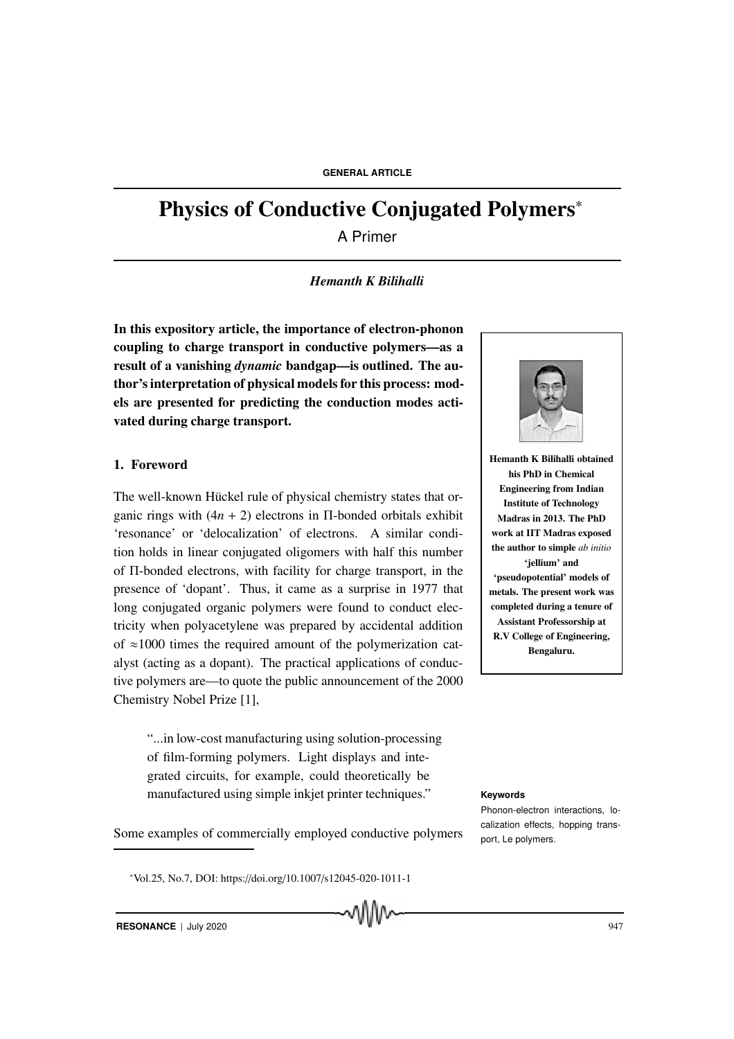# Physics of Conductive Conjugated Polymers<sup>∗</sup>

A Primer

# *Hemanth K Bilihalli*

In this expository article, the importance of electron-phonon coupling to charge transport in conductive polymers—as a result of a vanishing *dynamic* bandgap—is outlined. The author's interpretation of physical models for this process: models are presented for predicting the conduction modes activated during charge transport.

# 1. Foreword

The well-known Hückel rule of physical chemistry states that organic rings with  $(4n + 2)$  electrons in Π-bonded orbitals exhibit 'resonance' or 'delocalization' of electrons. A similar condition holds in linear conjugated oligomers with half this number of Π-bonded electrons, with facility for charge transport, in the presence of 'dopant'. Thus, it came as a surprise in 1977 that long conjugated organic polymers were found to conduct electricity when polyacetylene was prepared by accidental addition of  $\approx$ 1000 times the required amount of the polymerization catalyst (acting as a dopant). The practical applications of conductive polymers are—to quote the public announcement of the 2000 Chemistry Nobel Prize [1],

"...in low-cost manufacturing using solution-processing of film-forming polymers. Light displays and integrated circuits, for example, could theoretically be manufactured using simple inkjet printer techniques." **Keywords** 

Some examples of commercially employed conductive polymers.<br>
port, Le polymers.

MM

<sup>∗</sup>Vol.25, No.7, DOI: https://doi.org/10.1007/s12045-020-1011-1



Hemanth K Bilihalli obtained his PhD in Chemical Engineering from Indian Institute of Technology Madras in 2013. The PhD work at IIT Madras exposed the author to simple *ab initio* 'jellium' and 'pseudopotential' models of metals. The present work was completed during a tenure of Assistant Professorship at R.V College of Engineering, Bengaluru.

Phonon-electron interactions, localization effects, hopping trans-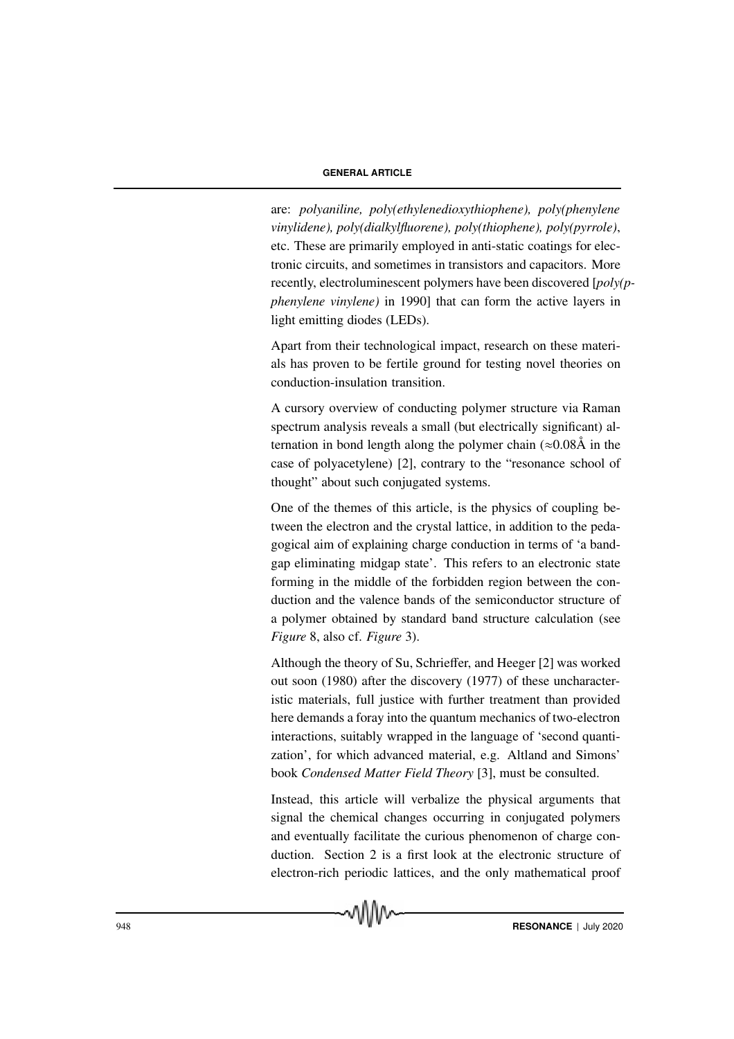are: *polyaniline, poly(ethylenedioxythiophene), poly(phenylene vinylidene), poly(dialkylfluorene), poly(thiophene), poly(pyrrole)*, etc. These are primarily employed in anti-static coatings for electronic circuits, and sometimes in transistors and capacitors. More recently, electroluminescent polymers have been discovered [*poly(pphenylene vinylene)* in 1990] that can form the active layers in light emitting diodes (LEDs).

Apart from their technological impact, research on these materials has proven to be fertile ground for testing novel theories on conduction-insulation transition.

A cursory overview of conducting polymer structure via Raman spectrum analysis reveals a small (but electrically significant) alternation in bond length along the polymer chain  $(\approx 0.08\text{Å}$  in the case of polyacetylene) [2], contrary to the "resonance school of thought" about such conjugated systems.

One of the themes of this article, is the physics of coupling between the electron and the crystal lattice, in addition to the pedagogical aim of explaining charge conduction in terms of 'a bandgap eliminating midgap state'. This refers to an electronic state forming in the middle of the forbidden region between the conduction and the valence bands of the semiconductor structure of a polymer obtained by standard band structure calculation (see *Figure* 8, also cf. *Figure* 3).

Although the theory of Su, Schrieffer, and Heeger [2] was worked out soon (1980) after the discovery (1977) of these uncharacteristic materials, full justice with further treatment than provided here demands a foray into the quantum mechanics of two-electron interactions, suitably wrapped in the language of 'second quantization', for which advanced material, e.g. Altland and Simons' book *Condensed Matter Field Theory* [3], must be consulted.

Instead, this article will verbalize the physical arguments that signal the chemical changes occurring in conjugated polymers and eventually facilitate the curious phenomenon of charge conduction. Section 2 is a first look at the electronic structure of electron-rich periodic lattices, and the only mathematical proof

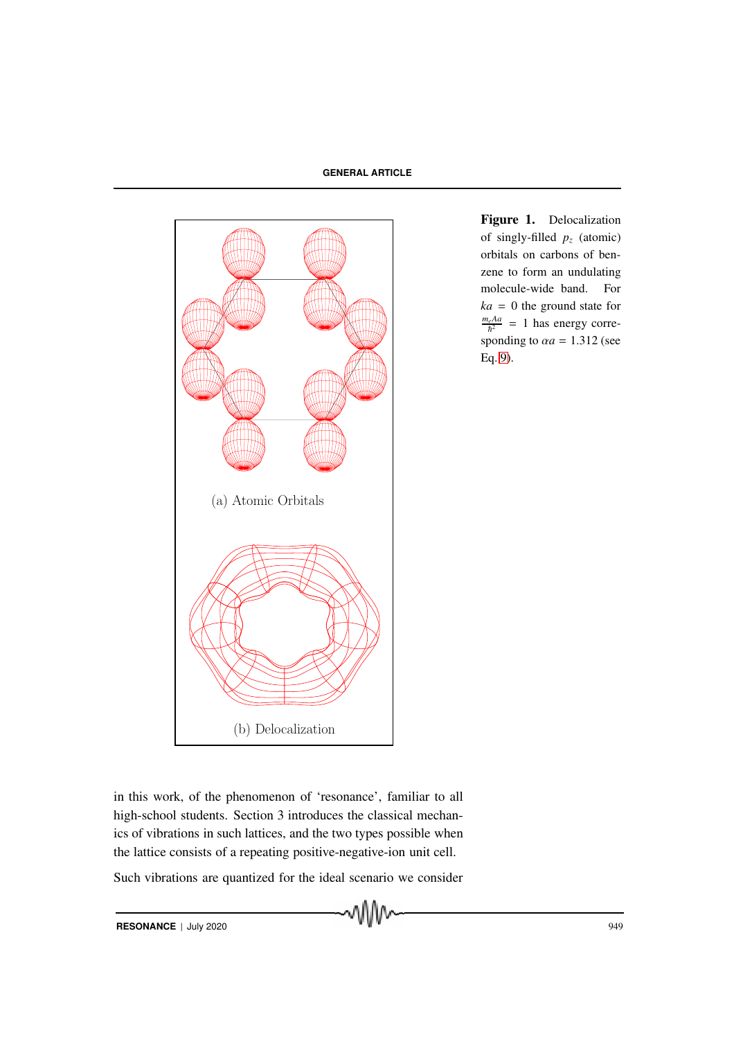

Figure 1. Delocalization of singly-filled  $p_z$  (atomic) orbitals on carbons of benzene to form an undulating molecule-wide band. For  $ka = 0$  the ground state for  $\frac{m_e A a}{\hbar^2}$  = 1 has energy corresponding to  $\alpha a = 1.312$  (see Eq. 9).

in this work, of the phenomenon of 'resonance', familiar to all high-school students. Section 3 introduces the classical mechanics of vibrations in such lattices, and the two types possible when the lattice consists of a repeating positive-negative-ion unit cell.

Such vibrations are quantized for the ideal scenario we consider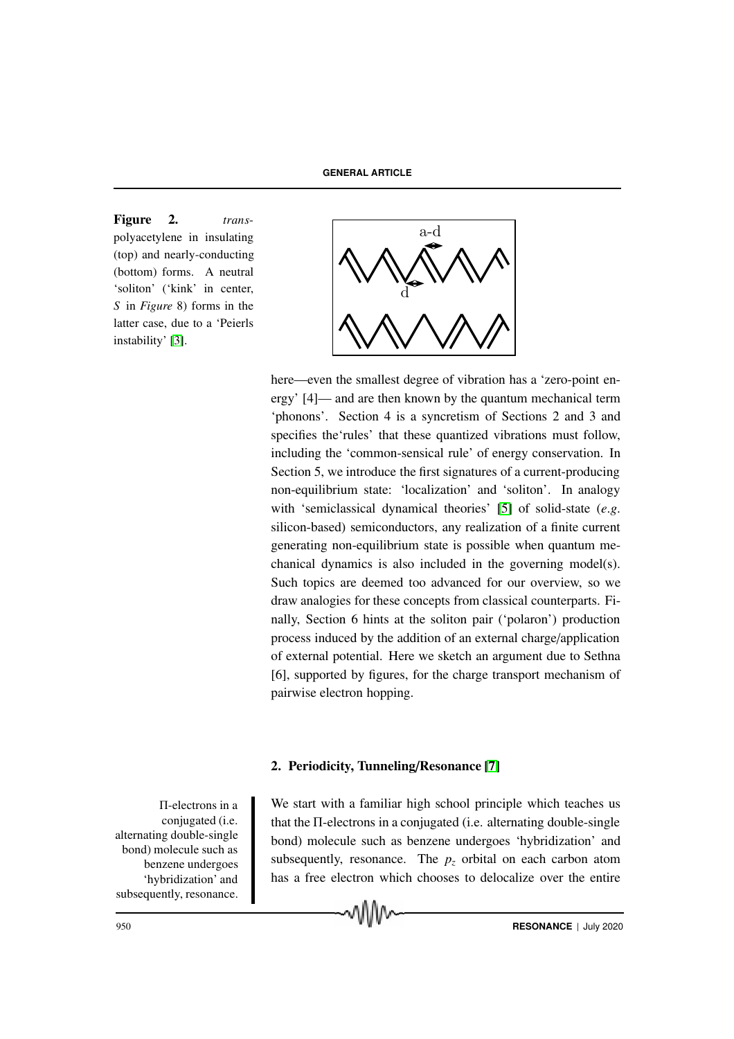Figure 2. *trans*polyacetylene in insulating (top) and nearly-conducting (bottom) forms. A neutral 'soliton' ('kink' in center, *S* in *Figure* 8) forms in the latter case, due to a 'Peierls instability' [3].



here—even the smallest degree of vibration has a 'zero-point energy' [4]— and are then known by the quantum mechanical term 'phonons'. Section 4 is a syncretism of Sections 2 and 3 and specifies the'rules' that these quantized vibrations must follow, including the 'common-sensical rule' of energy conservation. In Section 5, we introduce the first signatures of a current-producing non-equilibrium state: 'localization' and 'soliton'. In analogy with 'semiclassical dynamical theories' [5] of solid-state (*e*.*g*. silicon-based) semiconductors, any realization of a finite current generating non-equilibrium state is possible when quantum mechanical dynamics is also included in the governing model(s). Such topics are deemed too advanced for our overview, so we draw analogies for these concepts from classical counterparts. Finally, Section 6 hints at the soliton pair ('polaron') production process induced by the addition of an external charge/application of external potential. Here we sketch an argument due to Sethna [6], supported by figures, for the charge transport mechanism of pairwise electron hopping.

#### 2. Periodicity, Tunneling/Resonance [7]

Π-electrons in a conjugated (i.e. alternating double-single bond) molecule such as benzene undergoes 'hybridization' and subsequently, resonance.

We start with a familiar high school principle which teaches us that the Π-electrons in a conjugated (i.e. alternating double-single bond) molecule such as benzene undergoes 'hybridization' and subsequently, resonance. The  $p<sub>z</sub>$  orbital on each carbon atom has a free electron which chooses to delocalize over the entire

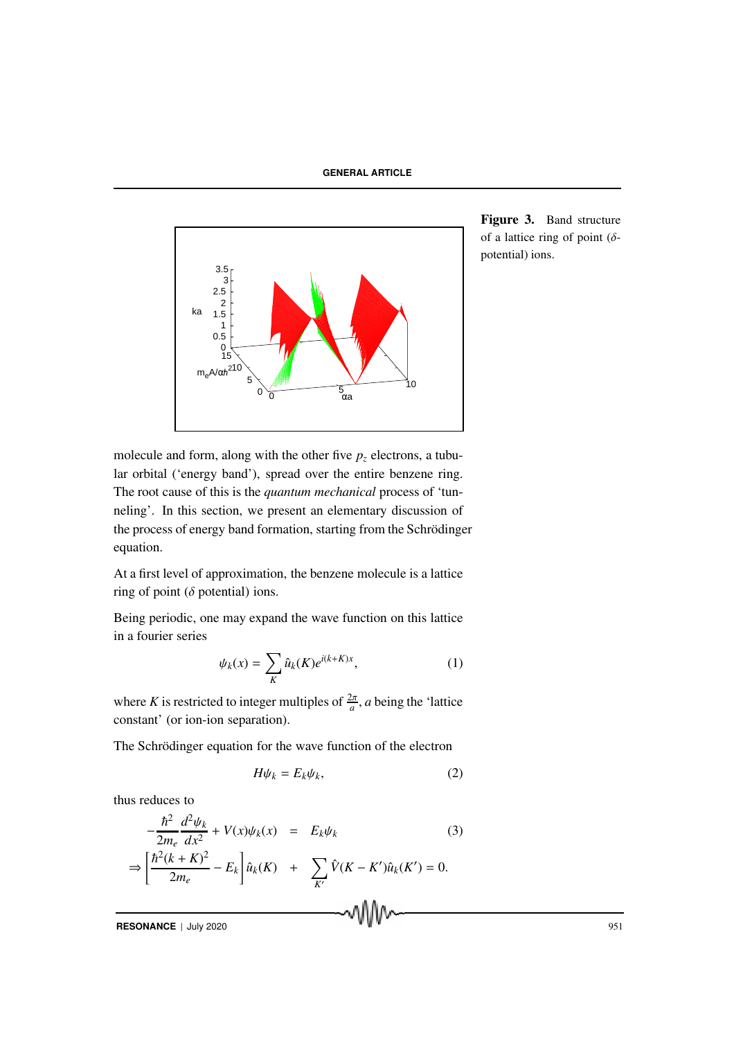

Figure 3. Band structure of a lattice ring of point  $(\delta$ potential) ions.

molecule and form, along with the other five  $p<sub>z</sub>$  electrons, a tubular orbital ('energy band'), spread over the entire benzene ring. The root cause of this is the *quantum mechanical* process of 'tunneling'. In this section, we present an elementary discussion of the process of energy band formation, starting from the Schrödinger equation.

At a first level of approximation, the benzene molecule is a lattice ring of point ( $\delta$  potential) ions.

Being periodic, one may expand the wave function on this lattice in a fourier series

$$
\psi_k(x) = \sum_K \hat{u}_k(K)e^{i(k+K)x},\tag{1}
$$

where *K* is restricted to integer multiples of  $\frac{2\pi}{a}$ , *a* being the 'lattice constant' (or ion-ion separation).

The Schrödinger equation for the wave function of the electron

$$
H\psi_k = E_k \psi_k,\tag{2}
$$

thus reduces to

$$
-\frac{\hbar^2}{2m_e} \frac{d^2 \psi_k}{dx^2} + V(x)\psi_k(x) = E_k \psi_k
$$
(3)  

$$
\Rightarrow \left[\frac{\hbar^2 (k+K)^2}{2m_e} - E_k\right] \hat{u}_k(K) + \sum_{K'} \hat{V}(K-K')\hat{u}_k(K') = 0.
$$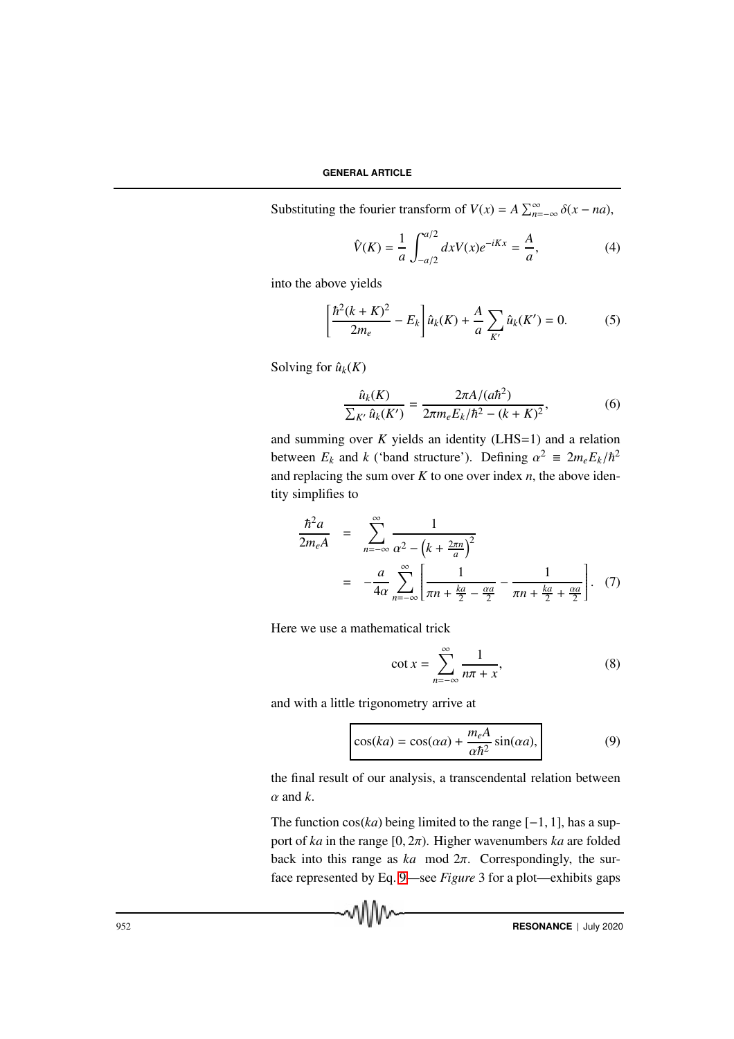Substituting the fourier transform of  $V(x) = A \sum_{n=-\infty}^{\infty} \delta(x - na)$ ,

$$
\hat{V}(K) = \frac{1}{a} \int_{-a/2}^{a/2} dx V(x) e^{-iKx} = \frac{A}{a},
$$
\n(4)

into the above yields

$$
\left[\frac{\hbar^2(k+K)^2}{2m_e} - E_k\right] \hat{u}_k(K) + \frac{A}{a} \sum_{K'} \hat{u}_k(K') = 0.
$$
 (5)

Solving for  $\hat{u}_k(K)$ 

$$
\frac{\hat{u}_k(K)}{\sum_{K'} \hat{u}_k(K')} = \frac{2\pi A/(a\hbar^2)}{2\pi m_e E_k/\hbar^2 - (k+K)^2},\tag{6}
$$

and summing over  $K$  yields an identity (LHS=1) and a relation between  $E_k$  and *k* ('band structure'). Defining  $\alpha^2 \equiv 2m_e E_k/\hbar^2$ and replacing the sum over  $K$  to one over index  $n$ , the above identity simplifies to

$$
\frac{\hbar^2 a}{2m_e A} = \sum_{n=-\infty}^{\infty} \frac{1}{\alpha^2 - (k + \frac{2\pi n}{a})^2}
$$
  
=  $-\frac{a}{4\alpha} \sum_{n=-\infty}^{\infty} \left[ \frac{1}{\pi n + \frac{ka}{2} - \frac{\alpha a}{2}} - \frac{1}{\pi n + \frac{ka}{2} + \frac{\alpha a}{2}} \right].$  (7)

Here we use a mathematical trick

$$
\cot x = \sum_{n=-\infty}^{\infty} \frac{1}{n\pi + x},\tag{8}
$$

and with a little trigonometry arrive at

wW∿

$$
\cos(ka) = \cos(\alpha a) + \frac{m_e A}{\alpha \hbar^2} \sin(\alpha a),\tag{9}
$$

the final result of our analysis, a transcendental relation between  $\alpha$  and  $k$ .

The function  $cos(ka)$  being limited to the range  $[-1, 1]$ , has a support of *ka* in the range [0, 2π). Higher wavenumbers *ka* are folded back into this range as *ka* mod 2π. Correspondingly, the surface represented by Eq. 9—see *Figure* 3 for a plot—exhibits gaps

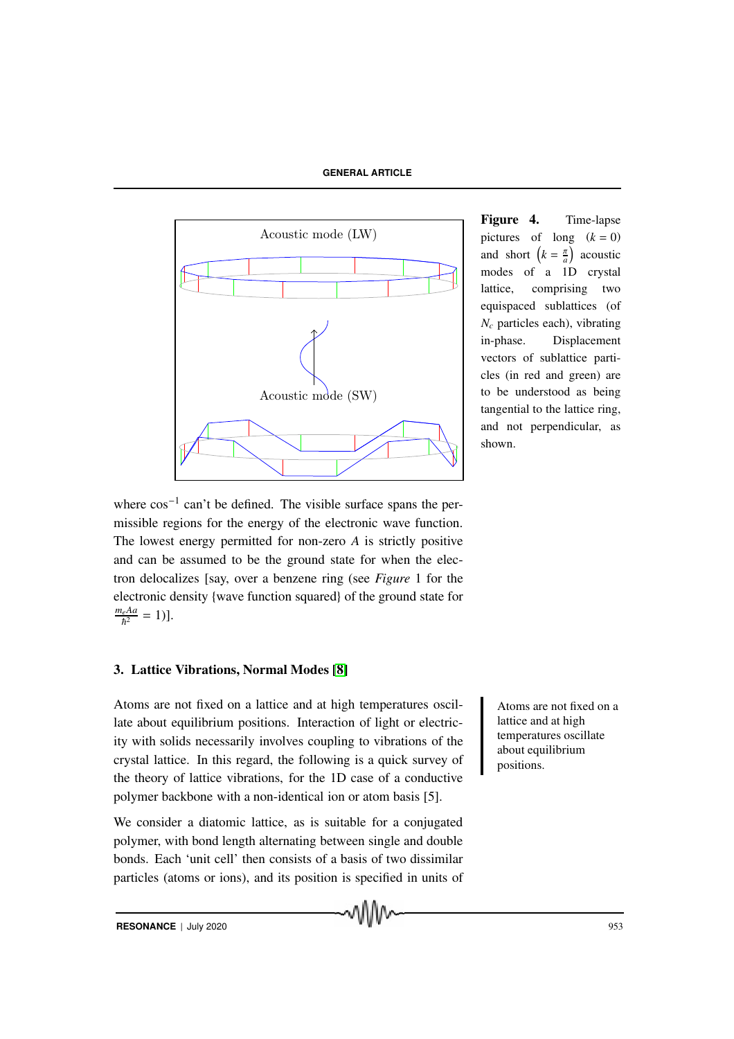

Figure 4. Time-lapse pictures of long  $(k = 0)$ and short  $\left(k = \frac{\pi}{a}\right)$  acoustic modes of a 1D crystal lattice, comprising two equispaced sublattices (of *N<sup>c</sup>* particles each), vibrating in-phase. Displacement vectors of sublattice particles (in red and green) are to be understood as being tangential to the lattice ring, and not perpendicular, as shown.

where  $\cos^{-1}$  can't be defined. The visible surface spans the permissible regions for the energy of the electronic wave function. The lowest energy permitted for non-zero *A* is strictly positive and can be assumed to be the ground state for when the electron delocalizes [say, over a benzene ring (see *Figure* 1 for the electronic density {wave function squared} of the ground state for  $\frac{m_e A a}{\hbar^2} = 1$ .

# 3. Lattice Vibrations, Normal Modes [8]

Atoms are not fixed on a lattice and at high temperatures oscil-<br>Atoms are not fixed on a late about equilibrium positions. Interaction of light or electricity with solids necessarily involves coupling to vibrations of the crystal lattice. In this regard, the following is a quick survey of the theory of lattice vibrations, for the 1D case of a conductive polymer backbone with a non-identical ion or atom basis [5].

We consider a diatomic lattice, as is suitable for a conjugated polymer, with bond length alternating between single and double bonds. Each 'unit cell' then consists of a basis of two dissimilar particles (atoms or ions), and its position is specified in units of lattice and at high temperatures oscillate about equilibrium positions.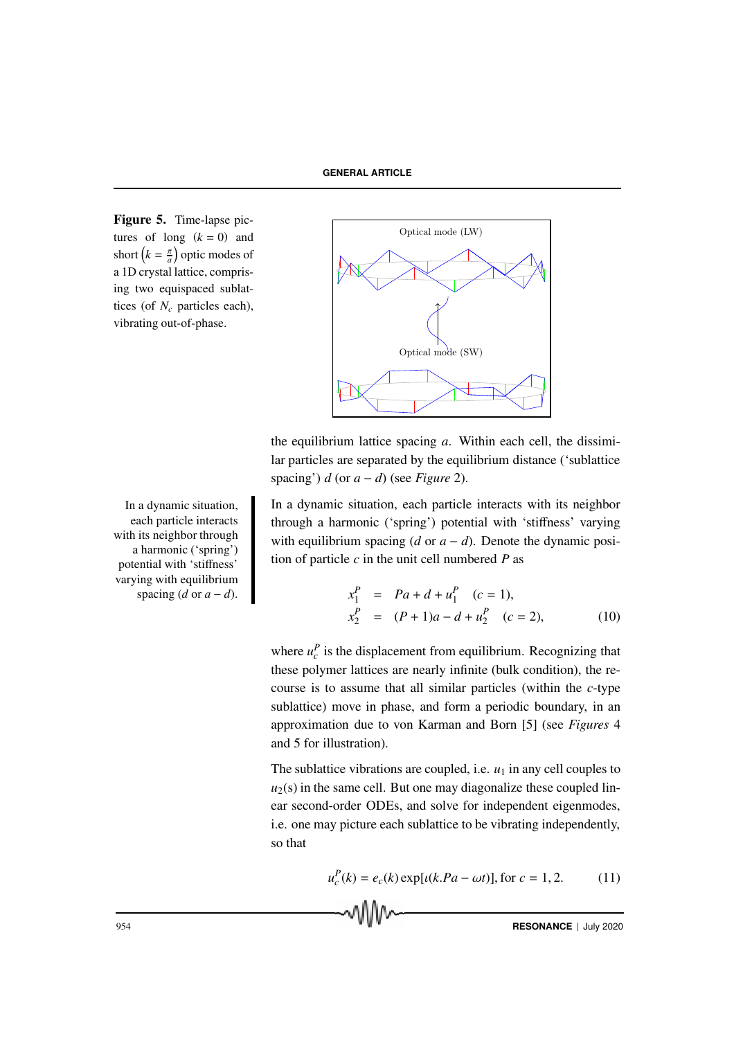Figure 5. Time-lapse pictures of long  $(k = 0)$  and short  $\left(k = \frac{\pi}{a}\right)$  optic modes of a 1D crystal lattice, comprising two equispaced sublattices (of *N<sup>c</sup>* particles each), vibrating out-of-phase.



the equilibrium lattice spacing *a*. Within each cell, the dissimilar particles are separated by the equilibrium distance ('sublattice spacing')  $d$  (or  $a - d$ ) (see *Figure* 2).

a dynamic situation, each particle interacts with its neighbor through a harmonic ('spring') potential with 'stiffness' varying with equilibrium spacing  $(d \text{ or } a - d)$ . Denote the dynamic position of particle *c* in the unit cell numbered *P* as

$$
x_1^P = Pa + d + u_1^P \t(c = 1),
$$
  
\n
$$
x_2^P = (P + 1)a - d + u_2^P \t(c = 2),
$$
\n(10)

where  $u_c^P$  is the displacement from equilibrium. Recognizing that these polymer lattices are nearly infinite (bulk condition), the recourse is to assume that all similar particles (within the *c*-type sublattice) move in phase, and form a periodic boundary, in an approximation due to von Karman and Born [5] (see *Figures* 4 and 5 for illustration).

The sublattice vibrations are coupled, i.e.  $u_1$  in any cell couples to  $u_2(s)$  in the same cell. But one may diagonalize these coupled linear second-order ODEs, and solve for independent eigenmodes, i.e. one may picture each sublattice to be vibrating independently, so that

$$
u_c^P(k) = e_c(k) \exp[i(k.Pa - \omega t)], \text{ for } c = 1, 2. \tag{11}
$$

In a dynamic situation, each particle interacts with its neighbor through a harmonic ('spring') potential with 'stiffness' varying with equilibrium spacing  $(d \text{ or } a - d)$ .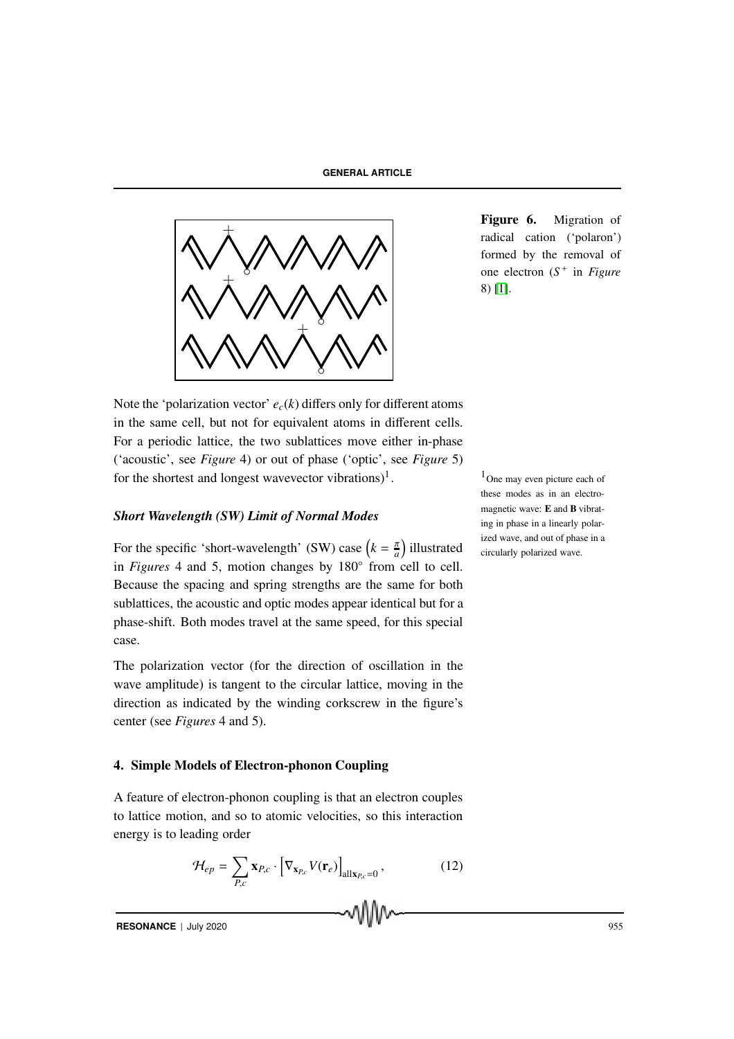

Figure 6. Migration of radical cation ('polaron') formed by the removal of one electron (*S* + in *Figure* 8) [1].

Note the 'polarization vector'  $e_c(k)$  differs only for different atoms in the same cell, but not for equivalent atoms in different cells. For a periodic lattice, the two sublattices move either in-phase ('acoustic', see *Figure* 4) or out of phase ('optic', see *Figure* 5) for the shortest and longest wavevector vibrations)<sup>1</sup>.  $1_{\text{One may even picture each of}}$ 

#### *Short Wavelength (SW) Limit of Normal Modes*

For the specific 'short-wavelength' (SW) case  $\left(k = \frac{\pi}{a}\right)$  $\frac{\pi}{a}$ ) illustrated in *Figures* 4 and 5, motion changes by 180◦ from cell to cell. Because the spacing and spring strengths are the same for both sublattices, the acoustic and optic modes appear identical but for a phase-shift. Both modes travel at the same speed, for this special case.

The polarization vector (for the direction of oscillation in the wave amplitude) is tangent to the circular lattice, moving in the direction as indicated by the winding corkscrew in the figure's center (see *Figures* 4 and 5).

#### 4. Simple Models of Electron-phonon Coupling

A feature of electron-phonon coupling is that an electron couples to lattice motion, and so to atomic velocities, so this interaction energy is to leading order

$$
\mathcal{H}_{ep} = \sum_{P,c} \mathbf{x}_{P,c} \cdot \left[ \nabla_{\mathbf{x}_{P,c}} V(\mathbf{r}_e) \right]_{\text{all}\mathbf{x}_{P,c}=0},\tag{12}
$$

these modes as in an electromagnetic wave: E and B vibrating in phase in a linearly polarized wave, and out of phase in a circularly polarized wave.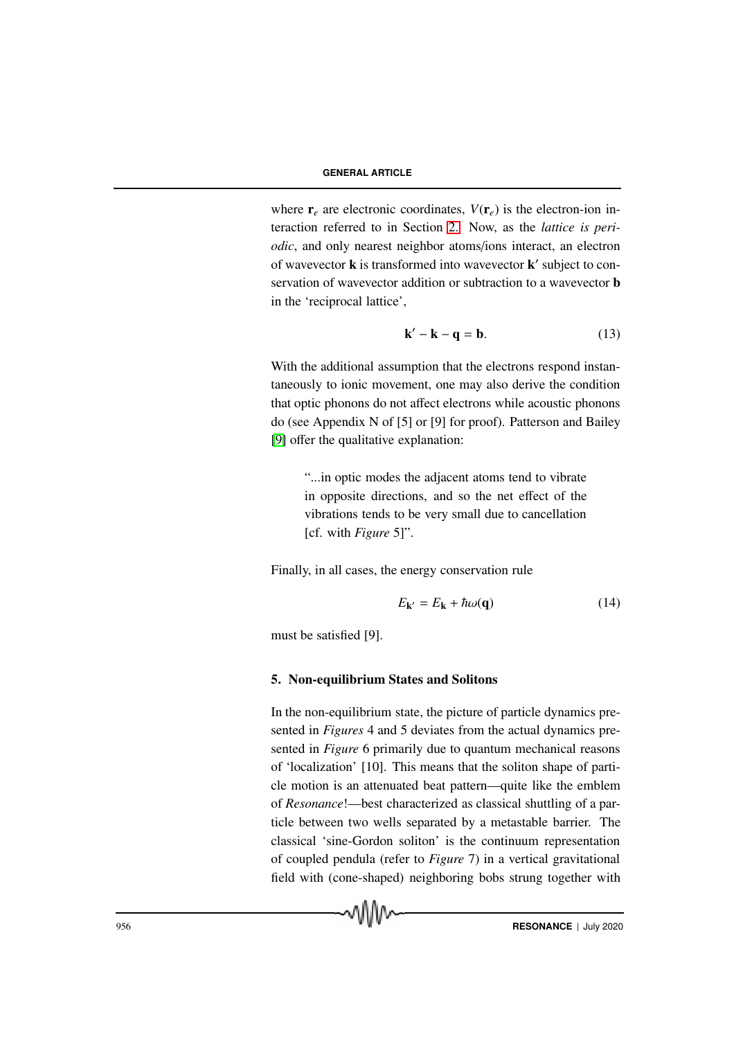where  $\mathbf{r}_e$  are electronic coordinates,  $V(\mathbf{r}_e)$  is the electron-ion interaction referred to in Section 2. Now, as the *lattice is periodic*, and only nearest neighbor atoms/ions interact, an electron of wavevector **k** is transformed into wavevector **k**' subject to conservation of wavevector addition or subtraction to a wavevector **b** in the 'reciprocal lattice',

$$
\mathbf{k}' - \mathbf{k} - \mathbf{q} = \mathbf{b}.\tag{13}
$$

With the additional assumption that the electrons respond instantaneously to ionic movement, one may also derive the condition that optic phonons do not affect electrons while acoustic phonons do (see Appendix N of [5] or [9] for proof). Patterson and Bailey [9] offer the qualitative explanation:

"...in optic modes the adjacent atoms tend to vibrate in opposite directions, and so the net effect of the vibrations tends to be very small due to cancellation [cf. with *Figure* 5]".

Finally, in all cases, the energy conservation rule

$$
E_{\mathbf{k'}} = E_{\mathbf{k}} + \hbar \omega(\mathbf{q}) \tag{14}
$$

must be satisfied [9].

#### 5. Non-equilibrium States and Solitons

In the non-equilibrium state, the picture of particle dynamics presented in *Figures* 4 and 5 deviates from the actual dynamics presented in *Figure* 6 primarily due to quantum mechanical reasons of 'localization' [10]. This means that the soliton shape of particle motion is an attenuated beat pattern—quite like the emblem of *Resonance*!—best characterized as classical shuttling of a particle between two wells separated by a metastable barrier. The classical 'sine-Gordon soliton' is the continuum representation of coupled pendula (refer to *Figure* 7) in a vertical gravitational field with (cone-shaped) neighboring bobs strung together with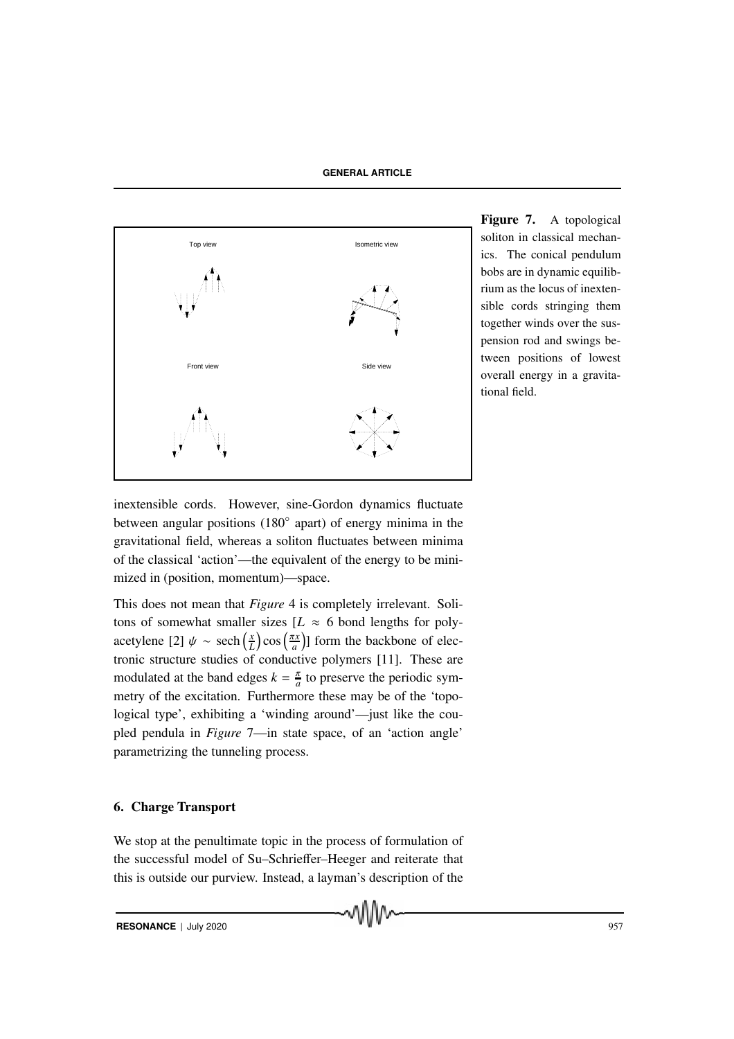

Figure 7. A topological soliton in classical mechanics. The conical pendulum bobs are in dynamic equilibrium as the locus of inextensible cords stringing them together winds over the suspension rod and swings between positions of lowest overall energy in a gravitational field.

inextensible cords. However, sine-Gordon dynamics fluctuate between angular positions (180◦ apart) of energy minima in the gravitational field, whereas a soliton fluctuates between minima of the classical 'action'—the equivalent of the energy to be minimized in (position, momentum)—space.

This does not mean that *Figure* 4 is completely irrelevant. Solitons of somewhat smaller sizes  $[L \approx 6$  bond lengths for polyacetylene [2]  $\psi \sim \operatorname{sech}\left(\frac{x}{l}\right)$  $\left(\frac{x}{L}\right)$  cos  $\left(\frac{\pi x}{a}\right)$  $\left(\frac{dx}{a}\right)$ ] form the backbone of electronic structure studies of conductive polymers [11]. These are modulated at the band edges  $k = \frac{\pi}{a}$  $\frac{\pi}{a}$  to preserve the periodic symmetry of the excitation. Furthermore these may be of the 'topological type', exhibiting a 'winding around'—just like the coupled pendula in *Figure* 7—in state space, of an 'action angle' parametrizing the tunneling process.

### 6. Charge Transport

We stop at the penultimate topic in the process of formulation of the successful model of Su–Schrieffer–Heeger and reiterate that this is outside our purview. Instead, a layman's description of the

MM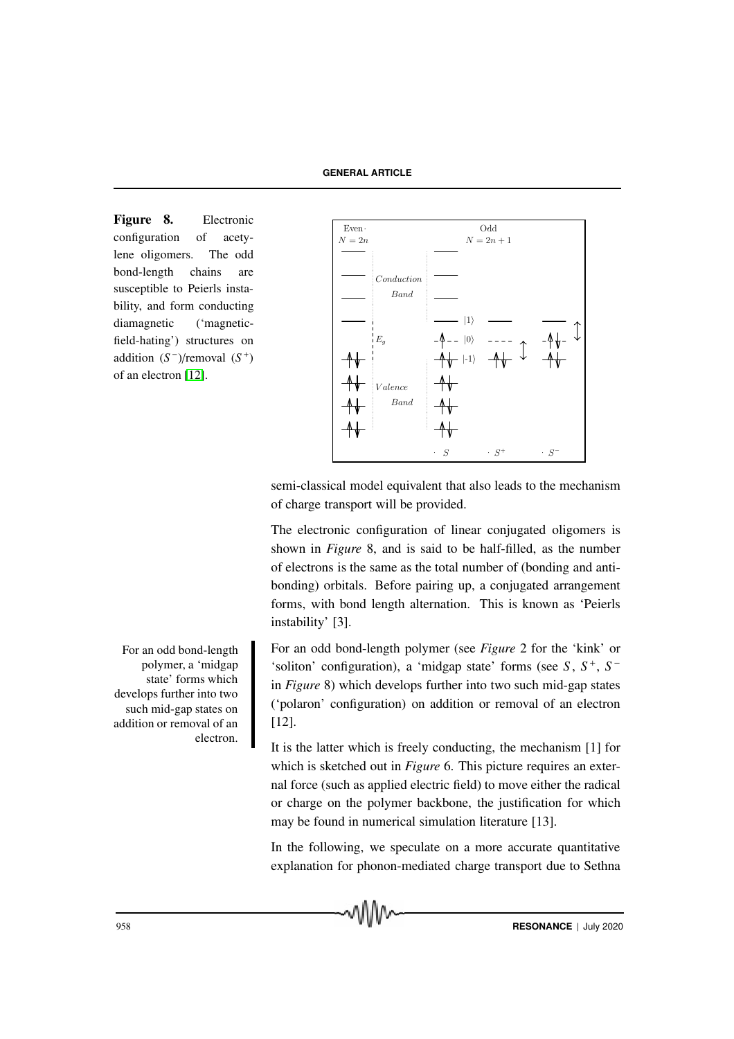Figure 8. Electronic configuration of acetylene oligomers. The odd bond-length chains are susceptible to Peierls instability, and form conducting diamagnetic ('magneticfield-hating') structures on addition  $(S^-)/$ removal  $(S^+)$ of an electron [12].



semi-classical model equivalent that also leads to the mechanism of charge transport will be provided.

The electronic configuration of linear conjugated oligomers is shown in *Figure* 8, and is said to be half-filled, as the number of electrons is the same as the total number of (bonding and antibonding) orbitals. Before pairing up, a conjugated arrangement forms, with bond length alternation. This is known as 'Peierls instability' [3].

an odd bond-length polymer (see *Figure* 2 for the 'kink' or 'soliton' configuration), a 'midgap state' forms (see *S* , *S* + , *S* − in *Figure* 8) which develops further into two such mid-gap states ('polaron' configuration) on addition or removal of an electron [12].

It is the latter which is freely conducting, the mechanism [1] for which is sketched out in *Figure* 6. This picture requires an external force (such as applied electric field) to move either the radical or charge on the polymer backbone, the justification for which may be found in numerical simulation literature [13].

In the following, we speculate on a more accurate quantitative explanation for phonon-mediated charge transport due to Sethna

For an odd bond-length polymer, a 'midgap state' forms which develops further into two such mid-gap states on addition or removal of an electron.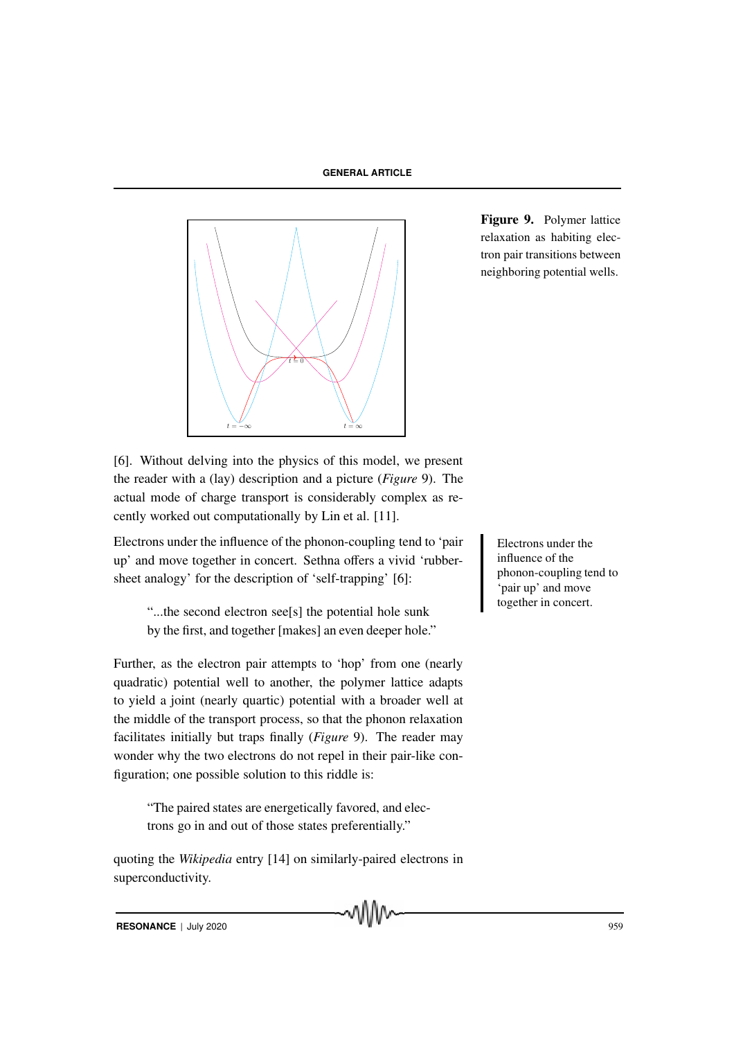

Figure 9. Polymer lattice relaxation as habiting electron pair transitions between neighboring potential wells.

[6]. Without delving into the physics of this model, we present the reader with a (lay) description and a picture (*Figure* 9). The actual mode of charge transport is considerably complex as recently worked out computationally by Lin et al. [11].

Electrons under the influence of the phonon-coupling tend to 'pair Flectrons under the up' and move together in concert. Sethna offers a vivid 'rubbersheet analogy' for the description of 'self-trapping' [6]:

"...the second electron see[s] the potential hole sunk by the first, and together [makes] an even deeper hole."

Further, as the electron pair attempts to 'hop' from one (nearly quadratic) potential well to another, the polymer lattice adapts to yield a joint (nearly quartic) potential with a broader well at the middle of the transport process, so that the phonon relaxation facilitates initially but traps finally (*Figure* 9). The reader may wonder why the two electrons do not repel in their pair-like configuration; one possible solution to this riddle is:

"The paired states are energetically favored, and electrons go in and out of those states preferentially."

quoting the *Wikipedia* entry [14] on similarly-paired electrons in superconductivity.

influence of the phonon-coupling tend to 'pair up' and move together in concert.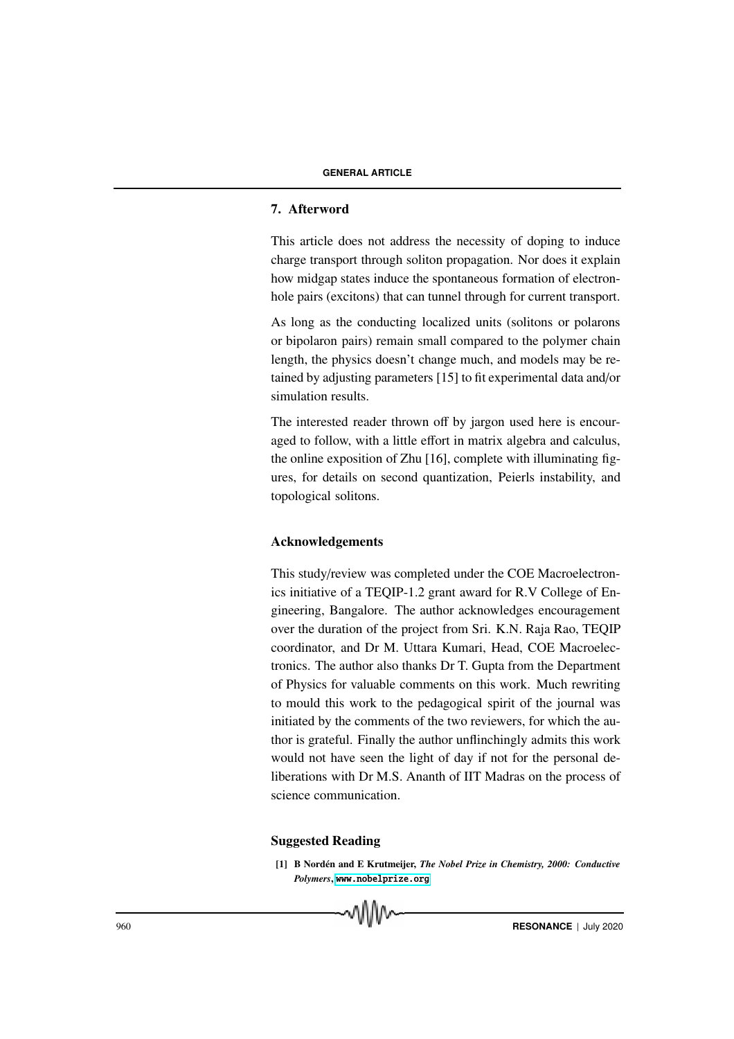# 7. Afterword

This article does not address the necessity of doping to induce charge transport through soliton propagation. Nor does it explain how midgap states induce the spontaneous formation of electronhole pairs (excitons) that can tunnel through for current transport.

As long as the conducting localized units (solitons or polarons or bipolaron pairs) remain small compared to the polymer chain length, the physics doesn't change much, and models may be retained by adjusting parameters [15] to fit experimental data and/or simulation results.

The interested reader thrown off by jargon used here is encouraged to follow, with a little effort in matrix algebra and calculus, the online exposition of Zhu [16], complete with illuminating figures, for details on second quantization, Peierls instability, and topological solitons.

#### Acknowledgements

This study/review was completed under the COE Macroelectronics initiative of a TEQIP-1.2 grant award for R.V College of Engineering, Bangalore. The author acknowledges encouragement over the duration of the project from Sri. K.N. Raja Rao, TEQIP coordinator, and Dr M. Uttara Kumari, Head, COE Macroelectronics. The author also thanks Dr T. Gupta from the Department of Physics for valuable comments on this work. Much rewriting to mould this work to the pedagogical spirit of the journal was initiated by the comments of the two reviewers, for which the author is grateful. Finally the author unflinchingly admits this work would not have seen the light of day if not for the personal deliberations with Dr M.S. Ananth of IIT Madras on the process of science communication.

#### Suggested Reading

[1] B Nordén and E Krutmeijer, *The Nobel Prize in Chemistry, 2000: Conductive Polymers*, <www.nobelprize.org>